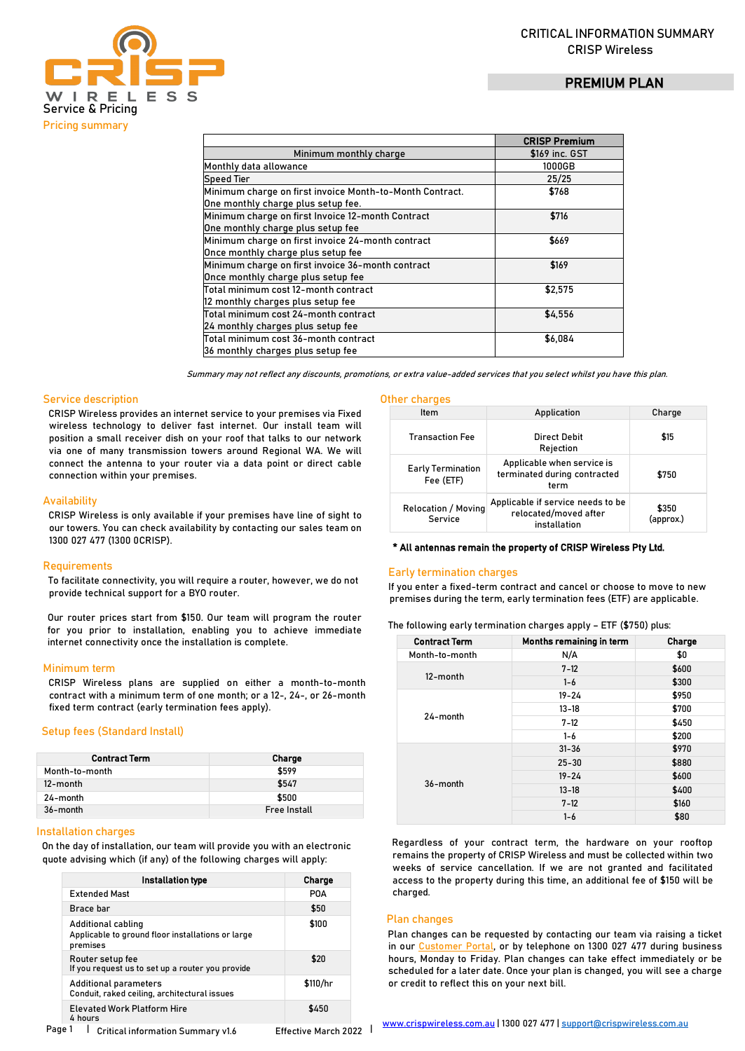# PREMIUM PLAN



|                                                          | <b>CRISP Premium</b> |
|----------------------------------------------------------|----------------------|
| Minimum monthly charge                                   | \$169 inc. GST       |
| Monthly data allowance                                   | 1000GB               |
| <b>Speed Tier</b>                                        | 25/25                |
| Minimum charge on first invoice Month-to-Month Contract. | \$768                |
| One monthly charge plus setup fee.                       |                      |
| Minimum charge on first Invoice 12-month Contract        | \$716                |
| One monthly charge plus setup fee                        |                      |
| Minimum charge on first invoice 24-month contract        | \$669                |
| Once monthly charge plus setup fee                       |                      |
| Minimum charge on first invoice 36-month contract        | \$169                |
| Once monthly charge plus setup fee                       |                      |
| Total minimum cost 12-month contract                     | \$2,575              |
| 12 monthly charges plus setup fee                        |                      |
| Total minimum cost 24-month contract                     | \$4.556              |
| 24 monthly charges plus setup fee                        |                      |
| Total minimum cost 36-month contract                     | \$6,084              |
| 36 monthly charges plus setup fee                        |                      |

Summary may not reflect any discounts, promotions, or extra value-added services that you select whilst you have this plan.

### Service description

CRISP Wireless provides an internet service to your premises via Fixed wireless technology to deliver fast internet. Our install team will position a small receiver dish on your roof that talks to our network via one of many transmission towers around Regional WA. We will connect the antenna to your router via a data point or direct cable connection within your premises.

### **Availability**

CRISP Wireless is only available if your premises have line of sight to our towers. You can check availability by contacting our sales team on 1300 027 477 (1300 0CRISP).

#### **Requirements**

To facilitate connectivity, you will require a router, however, we do not provide technical support for a BYO router.

Our router prices start from \$150. Our team will program the router for you prior to installation, enabling you to achieve immediate internet connectivity once the installation is complete.

### Minimum term

CRISP Wireless plans are supplied on either a month-to-month contract with a minimum term of one month; or a 12-, 24-, or 26-month fixed term contract (early termination fees apply).

#### Setup fees (Standard Install)

| <b>Contract Term</b> | <b>Charge</b>       |
|----------------------|---------------------|
| Month-to-month       | \$599               |
| 12-month             | \$547               |
| 24-month             | \$500               |
| 36-month             | <b>Free Install</b> |

### Installation charges

On the day of installation, our team will provide you with an electronic quote advising which (if any) of the following charges will apply:

| Installation type                                                                   | Charge   |
|-------------------------------------------------------------------------------------|----------|
| <b>Extended Mast</b>                                                                | POA      |
| Brace har                                                                           | \$50     |
| Additional cabling<br>Applicable to ground floor installations or large<br>premises | \$100    |
| Router setup fee<br>If you request us to set up a router you provide                | \$20     |
| <b>Additional parameters</b><br>Conduit, raked ceiling, architectural issues        | \$110/hr |
| <b>Elevated Work Platform Hire</b><br>4 hours                                       | \$450    |

# Other charges

| Item                                  | Application                                                                | Charge             |
|---------------------------------------|----------------------------------------------------------------------------|--------------------|
| <b>Transaction Fee</b>                | Direct Debit<br>Rejection                                                  | \$15               |
| <b>Early Termination</b><br>Fee (ETF) | Applicable when service is<br>terminated during contracted<br>term         | \$750              |
| <b>Relocation / Moving</b><br>Service | Applicable if service needs to be<br>relocated/moved after<br>installation | \$350<br>(approx.) |

#### \* All antennas remain the property of CRISP Wireless Pty Ltd.

#### Early termination charges

If you enter a fixed-term contract and cancel or choose to move to new premises during the term, early termination fees (ETF) are applicable.

| The following early termination charges apply – ETF (\$750) plus: |  |  |  |  |
|-------------------------------------------------------------------|--|--|--|--|
|                                                                   |  |  |  |  |

| <b>Contract Term</b> | Months remaining in term | Charge |
|----------------------|--------------------------|--------|
| Month-to-month       | N/A                      | \$0    |
| 12-month             | $7 - 12$                 | \$600  |
|                      | $1 - 6$                  | \$300  |
| 24-month             | $19 - 24$                | \$950  |
|                      | $13 - 18$                | \$700  |
|                      | $7 - 12$                 | \$450  |
|                      | $1 - 6$                  | \$200  |
| 36-month             | $31 - 36$                | \$970  |
|                      | $25 - 30$                | \$880  |
|                      | $19 - 24$                | \$600  |
|                      | $13 - 18$                | \$400  |
|                      | $7 - 12$                 | \$160  |
|                      | $1 - 6$                  | \$80   |

Regardless of your contract term, the hardware on your rooftop remains the property of CRISP Wireless and must be collected within two weeks of service cancellation. If we are not granted and facilitated access to the property during this time, an additional fee of \$150 will be charged.

## Plan changes

Plan changes can be requested by contacting our team via raising a ticket in o[ur Customer Portal, or b](https://portal.crispwireless.com.au/portal/login)y telephone on 1300 027 477 during business hours, Monday to Friday. Plan changes can take effect immediately or be scheduled for a later date. Once your plan is changed, you will see a charge or credit to reflect this on your next bill.